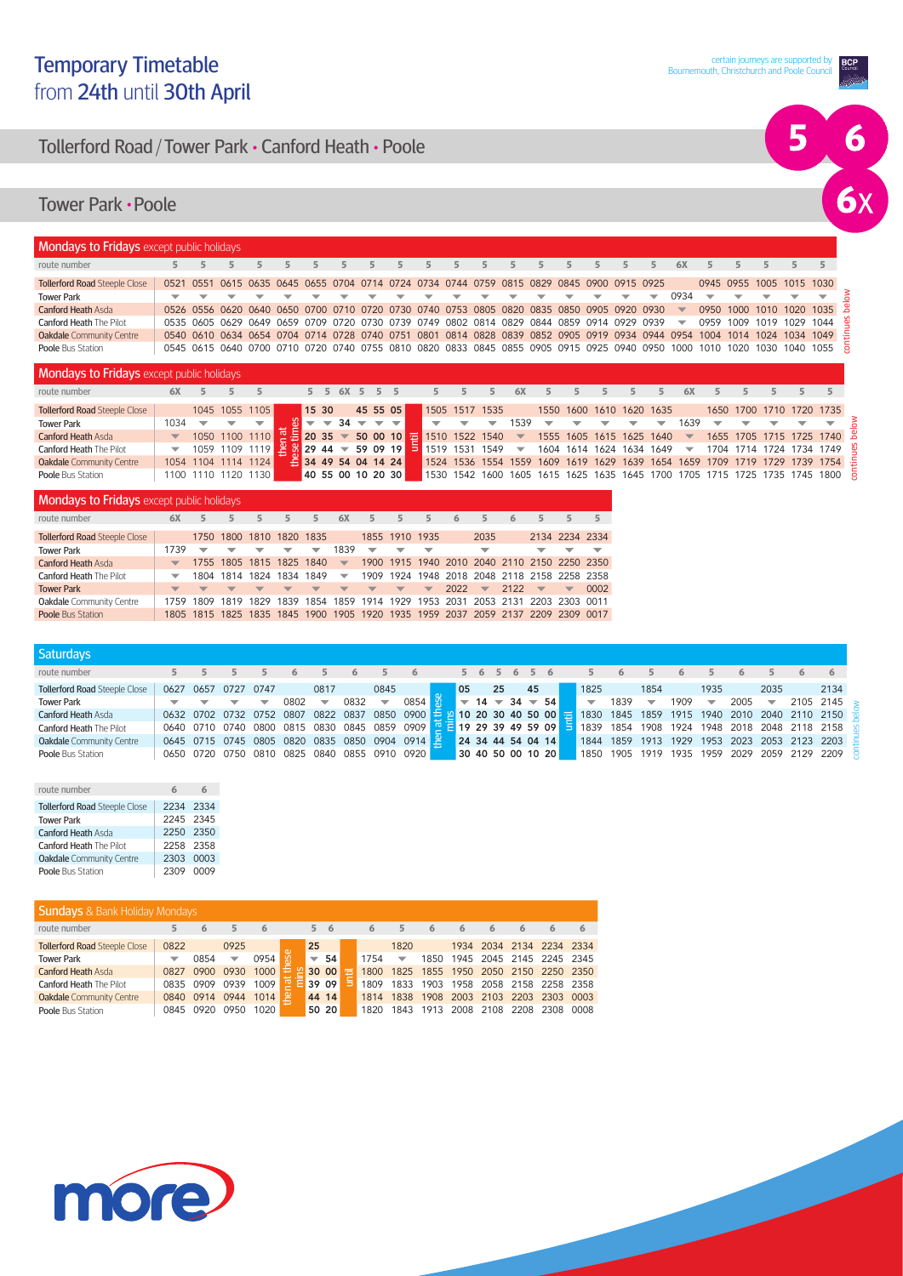## **BCP**

# 5  $\begin{array}{c} 6 \\ 6 \end{array}$

## Tollerford Road / Tower Park **•** Canford Heath **•** Poole

#### Tower Park **•** Poole

| <b>Mondays to Fridays</b> except public holidays |  |   |                          |                          |                          |                          |                          |                                                                                                                           |                               |   |       |   |   |  |                          |                          |                          |                          |                          |
|--------------------------------------------------|--|---|--------------------------|--------------------------|--------------------------|--------------------------|--------------------------|---------------------------------------------------------------------------------------------------------------------------|-------------------------------|---|-------|---|---|--|--------------------------|--------------------------|--------------------------|--------------------------|--------------------------|
| route number                                     |  |   |                          |                          |                          |                          | $5 -$                    |                                                                                                                           |                               |   | $5 -$ |   |   |  | 6X                       |                          |                          |                          |                          |
| <b>Tollerford Road Steeple Close</b>             |  |   |                          |                          |                          |                          |                          | 0521 0551 0615 0635 0645 0655 0704 0714 0724 0734 0744 0759 0815 0829 0845 0900 0915 0925                                 |                               |   |       |   |   |  |                          | 0945 0955 1005 1015 1030 |                          |                          |                          |
| <b>Tower Park</b>                                |  | ▼ | $\overline{\phantom{a}}$ | $\overline{\phantom{0}}$ | $\overline{\phantom{0}}$ | $\overline{\phantom{a}}$ | $\overline{\phantom{0}}$ | $\overline{\phantom{a}}$                                                                                                  | <b>The Contract of Street</b> | ▼ | ▼     | ▼ | ▼ |  | 0934                     | $\overline{\phantom{a}}$ | $\overline{\phantom{a}}$ |                          | $\overline{\phantom{a}}$ |
| <b>Canford Heath Asda</b>                        |  |   |                          |                          |                          |                          |                          | 0526 0556 0620 0640 0650 0700 0710 0720 0730 0740 0753 0805 0820 0835 0850 0905 0920 0930                                 |                               |   |       |   |   |  | $\overline{\phantom{a}}$ |                          |                          | 0950 1000 1010 1020 1035 |                          |
| <b>Canford Heath The Pilot</b>                   |  |   |                          |                          |                          |                          |                          | 0535 0605 0629 0649 0659 0709 0720 0730 0739 0749 0802 0814 0829 0844 0859 0914 0929 0939                                 |                               |   |       |   |   |  | $\overline{\phantom{a}}$ |                          |                          | 0959 1009 1019 1029      | 1044                     |
| <b>Oakdale</b> Community Centre                  |  |   |                          |                          |                          |                          |                          | 0540 0610 0634 0654 0704 0714 0728 0740 0751 0801 0814 0828 0839 0852 0905 0919 0934 0944 0954 1004 1014 1024 1034 1049 - |                               |   |       |   |   |  |                          |                          |                          |                          |                          |
| <b>Poole Bus Station</b>                         |  |   |                          |                          |                          |                          |                          | 0545 0615 0640 0700 0710 0720 0740 0755 0810 0820 0833 0845 0855 0905 0915 0925 0940 0950 1000 1010 1020 1030 1040 1055   |                               |   |       |   |   |  |                          |                          |                          |                          |                          |

| <b>Mondays to Fridays</b> except public holidays |                          |                     |  |                                                                                        |                            |                          |        |              |  |                                         |                          |                        |                          |                          |   |                          |                          |                          |   |                                                                            |           |                                                                              |
|--------------------------------------------------|--------------------------|---------------------|--|----------------------------------------------------------------------------------------|----------------------------|--------------------------|--------|--------------|--|-----------------------------------------|--------------------------|------------------------|--------------------------|--------------------------|---|--------------------------|--------------------------|--------------------------|---|----------------------------------------------------------------------------|-----------|------------------------------------------------------------------------------|
| route number                                     | 6X                       |                     |  |                                                                                        |                            |                          |        | 5 5 6X 5 5 5 |  |                                         |                          | 6X                     |                          |                          |   |                          | 6X                       |                          |   |                                                                            |           |                                                                              |
| <b>Tollerford Road Steeple Close</b>             |                          | 1045 1055 1105      |  |                                                                                        | 15 30                      |                          |        | 45 55 05     |  | 1505 1517 1535                          |                          |                        |                          |                          |   | 1550 1600 1610 1620 1635 |                          |                          |   | 1650 1700 1710 1720 1735                                                   |           |                                                                              |
| <b>Tower Park</b>                                | 1034                     |                     |  |                                                                                        |                            | $\overline{\phantom{a}}$ | $34 -$ | $-$          |  |                                         | $\overline{\phantom{0}}$ | 1539                   |                          | $\overline{\phantom{m}}$ | ▼ | $\overline{\phantom{m}}$ | 1639                     | $\overline{\phantom{0}}$ | ▼ |                                                                            |           |                                                                              |
| <b>Canford Heath Asda</b>                        | $\blacktriangledown$     |                     |  | 1050 1100 1110 $\frac{1}{2}$ 20 35 $\rightarrow$ 50 00 10 $\frac{1}{2}$ 1510 1522 1540 |                            |                          |        |              |  |                                         |                          | <b>The State State</b> |                          |                          |   | 1555 1605 1615 1625 1640 | $\overline{\mathbf{v}}$  |                          |   |                                                                            |           | 1655 1705 1715 1725 1740 옵                                                   |
| <b>Canford Heath The Pilot</b>                   | $\overline{\phantom{a}}$ |                     |  | 1059 1109 1119 $28/29$ 44 $\overline{59}$ 09 19                                        |                            |                          |        |              |  | $\frac{1}{2}$ 1519 1531 1549 $\sqrt{ }$ |                          |                        | 1604 1614 1624 1634 1649 |                          |   |                          | $\overline{\phantom{m}}$ | 1704 1714                |   | 1724                                                                       | 1734 1749 |                                                                              |
| Oakdale Community Centre                         |                          | 1054 1104 1114 1124 |  |                                                                                        | $\equiv$ 34 49 54 04 14 24 |                          |        |              |  |                                         |                          |                        |                          |                          |   |                          |                          |                          |   |                                                                            |           | 1524 1536 1554 1559 1609 1619 1629 1639 1654 1659 1709 1719 1729 1739 1754 - |
| Poole Bus Station                                | 1100 1110 1120 1130      |                     |  |                                                                                        | 40 55 00 10 20 30          |                          |        |              |  |                                         |                          |                        |                          |                          |   |                          |                          |                          |   | 1530 1542 1600 1605 1615 1625 1635 1645 1700 1705 1715 1725 1735 1745 1800 |           |                                                                              |

| <b>Mondays to Fridays</b> except public holidays |                          |                          |                          |                          |                          |                          |                          |                          |                          |                          |      |                                                                                 |      |                          |                          |      |
|--------------------------------------------------|--------------------------|--------------------------|--------------------------|--------------------------|--------------------------|--------------------------|--------------------------|--------------------------|--------------------------|--------------------------|------|---------------------------------------------------------------------------------|------|--------------------------|--------------------------|------|
| route number                                     | 6X                       | 5.                       | 5                        | 5                        | 5                        | 5                        | 6X                       | 5.                       | 5                        | 5.                       | 6    | 5                                                                               | 6    |                          |                          |      |
| <b>Tollerford Road Steeple Close</b>             |                          |                          | 1750 1800 1810 1820 1835 |                          |                          |                          |                          |                          | 1855 1910 1935           |                          |      | 2035                                                                            |      |                          | 2134 2234 2334           |      |
| <b>Tower Park</b>                                | 1739                     | ▼                        | ▼                        | ▼                        | ▼                        | ▼                        | 1839                     | ▼                        | ▼                        | ▼                        |      | ▼                                                                               |      | ▼                        | ▼                        |      |
| <b>Canford Heath Asda</b>                        | $\blacktriangledown$     |                          | 1755 1805 1815 1825 1840 |                          |                          |                          | $\overline{\phantom{a}}$ |                          |                          |                          |      | 1900 1915 1940 2010 2040 2110 2150 2250 2350                                    |      |                          |                          |      |
| <b>Canford Heath The Pilot</b>                   |                          |                          | 1804 1814 1824 1834 1849 |                          |                          |                          | ▼                        |                          |                          |                          |      | 1909 1924 1948 2018 2048 2118 2158 2258 2358                                    |      |                          |                          |      |
| <b>Tower Park</b>                                | $\overline{\phantom{a}}$ | $\overline{\phantom{0}}$ | $\overline{\phantom{a}}$ | $\overline{\phantom{a}}$ | $\overline{\phantom{a}}$ | $\overline{\phantom{a}}$ | $\overline{\phantom{a}}$ | $\overline{\phantom{a}}$ | $\overline{\phantom{0}}$ | $\overline{\phantom{0}}$ | 2022 | $\overline{\mathbf{v}}$                                                         | 2122 | $\overline{\phantom{0}}$ | $\overline{\phantom{0}}$ | 0002 |
| Oakdale Community Centre                         |                          |                          |                          |                          |                          |                          |                          |                          |                          |                          |      | 1759 1809 1819 1829 1839 1854 1859 1914 1929 1953 2031 2053 2131 2203 2303 0011 |      |                          |                          |      |
| <b>Poole Bus Station</b>                         |                          |                          |                          |                          |                          |                          |                          |                          |                          |                          |      | 1805 1815 1825 1835 1845 1900 1905 1920 1935 1959 2037 2059 2137 2209 2309 0017 |      |                          |                          |      |

| <b>Saturdays</b>                     |                          |                          |                          |      |                                                                           |                          |      |                          |      |                   |            |    |             |                 |                          |      |                                                                                                         |                |                          |      |                               |              |      |
|--------------------------------------|--------------------------|--------------------------|--------------------------|------|---------------------------------------------------------------------------|--------------------------|------|--------------------------|------|-------------------|------------|----|-------------|-----------------|--------------------------|------|---------------------------------------------------------------------------------------------------------|----------------|--------------------------|------|-------------------------------|--------------|------|
| route number                         |                          |                          |                          |      |                                                                           |                          |      |                          |      |                   |            |    | 5 6 5 6 5 6 |                 |                          |      |                                                                                                         |                |                          |      |                               |              | 6    |
| <b>Tollerford Road Steeple Close</b> | 0627                     |                          | 0657 0727                | 0747 |                                                                           | 0817                     |      | 0845                     |      | 05                |            | 25 | 45          |                 | 1825                     |      | 1854                                                                                                    |                | 1935                     |      | 2035                          |              | 2134 |
| <b>Tower Park</b>                    | $\overline{\phantom{a}}$ | $\overline{\phantom{a}}$ | $\overline{\phantom{a}}$ |      | 0802                                                                      | $\overline{\phantom{0}}$ | 0832 | $\overline{\phantom{a}}$ | 0854 |                   | $-14 - 34$ |    |             | $\overline{54}$ | $\overline{\phantom{a}}$ | 1839 | $\overline{\phantom{m}}$                                                                                | 1909           | $\overline{\phantom{a}}$ | 2005 | $\overline{\phantom{a}}$      | 2105 2145    |      |
| <b>Canford Heath Asda</b>            |                          |                          |                          |      | 0632 0702 0732 0752 0807 0822 0837                                        |                          |      |                          |      |                   |            |    |             |                 |                          |      | 0850 0900 $\div$ 2 10 20 30 40 50 00 $\div$ 1830 1845 1859 1915 1940 2010 2040 2110 2150 $\frac{3}{20}$ |                |                          |      |                               |              |      |
| <b>Canford Heath The Pilot</b>       |                          |                          |                          |      | 0640 0710 0740 0800 0815 0830 0845 0859 0909 E E 19 29 39 49 59 09 E 1839 |                          |      |                          |      |                   |            |    |             |                 |                          | 1854 | 1908                                                                                                    |                |                          |      | 1924 1948 2018 2048 2118 2158 |              |      |
| Oakdale Community Centre             |                          |                          |                          |      | 0645 0715 0745 0805 0820 0835 0850 0904 0914                              |                          |      |                          |      | 24 34 44 54 04 14 |            |    |             |                 | 1844                     |      | 1859 1913 1929 1953 2023 2053                                                                           |                |                          |      |                               | 2123 2203    |      |
| <b>Poole Bus Station</b>             |                          |                          |                          |      | 0650 0720 0750 0810 0825 0840 0855 0910 0920                              |                          |      |                          |      | 30 40 50 00 10 20 |            |    |             |                 | 1850                     |      | 1905 1919                                                                                               | 1935 1959 2029 |                          |      | 2059                          | _2129 2209 로 |      |

| route number                         |           |  |
|--------------------------------------|-----------|--|
| <b>Tollerford Road Steeple Close</b> | 2234 2334 |  |
| <b>Tower Park</b>                    | 2245 2345 |  |
| <b>Canford Heath Asda</b>            | 2250 2350 |  |
| <b>Canford Heath The Pilot</b>       | 2258 2358 |  |
| Oakdale Community Centre             | 2303 0003 |  |
| Poole Bus Station                    | 2309 0009 |  |

| <b>Sundays &amp; Bank Holiday Mondays</b> |      |           |      |      |                          |       |   |      |      |      |                               |                          |      |      |      |
|-------------------------------------------|------|-----------|------|------|--------------------------|-------|---|------|------|------|-------------------------------|--------------------------|------|------|------|
| route number                              | 5    | 6         |      | - 6  | 5.                       | - 6   |   | 6    |      |      |                               |                          |      |      | 6    |
| <b>Tollerford Road Steeple Close</b>      | 0822 |           | 0925 |      | 25                       |       |   |      | 1820 |      |                               | 1934 2034 2134 2234 2334 |      |      |      |
| <b>Tower Park</b>                         | ▽    | 0854      | ▼    | 0954 | $\overline{\phantom{a}}$ | 54    |   | 1754 | ▼    | 1850 |                               | 1945 2045 2145 2245 2345 |      |      |      |
| <b>Canford Heath Asda</b>                 | 0827 | 0900      | 0930 | 1000 |                          | 30 00 | ≓ | 1800 | 1825 |      | 1855 1950 2050 2150 2250 2350 |                          |      |      |      |
| <b>Canford Heath The Pilot</b>            |      | 0835 0909 | 0939 | 1009 |                          | 39 09 |   | 1809 | 1833 | 1903 |                               | 1958 2058 2158 2258 2358 |      |      |      |
| <b>Oakdale</b> Community Centre           | 0840 | 0914      | 0944 | 1014 |                          | 44 14 |   | 1814 | 1838 | 1908 |                               | 2003 2103 2203 2303 0003 |      |      |      |
| <b>Poole Bus Station</b>                  | 0845 | 0920      | 0950 | 1020 |                          | 50 20 |   | 1820 | 1843 | 1913 | 2008                          | 2108                     | 2208 | 2308 | 0008 |